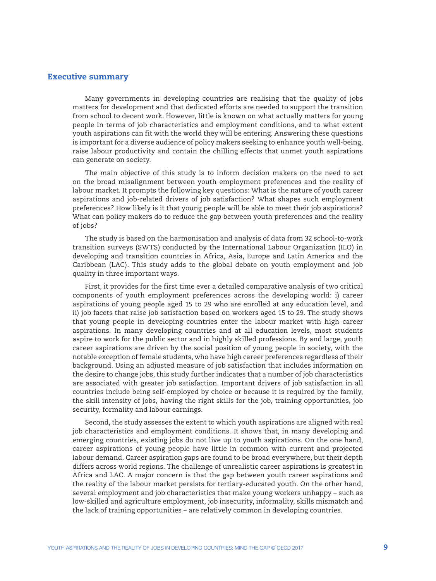## Executive summary

Many governments in developing countries are realising that the quality of jobs matters for development and that dedicated efforts are needed to support the transition from school to decent work. However, little is known on what actually matters for young people in terms of job characteristics and employment conditions, and to what extent youth aspirations can fit with the world they will be entering. Answering these questions is important for a diverse audience of policy makers seeking to enhance youth well-being, raise labour productivity and contain the chilling effects that unmet youth aspirations can generate on society.

The main objective of this study is to inform decision makers on the need to act on the broad misalignment between youth employment preferences and the reality of labour market. It prompts the following key questions: What is the nature of youth career aspirations and job-related drivers of job satisfaction? What shapes such employment preferences? How likely is it that young people will be able to meet their job aspirations? What can policy makers do to reduce the gap between youth preferences and the reality of jobs?

The study is based on the harmonisation and analysis of data from 32 school-to-work transition surveys (SWTS) conducted by the International Labour Organization (ILO) in developing and transition countries in Africa, Asia, Europe and Latin America and the Caribbean (LAC). This study adds to the global debate on youth employment and job quality in three important ways.

First, it provides for the first time ever a detailed comparative analysis of two critical components of youth employment preferences across the developing world: i) career aspirations of young people aged 15 to 29 who are enrolled at any education level, and ii) job facets that raise job satisfaction based on workers aged 15 to 29. The study shows that young people in developing countries enter the labour market with high career aspirations. In many developing countries and at all education levels, most students aspire to work for the public sector and in highly skilled professions. By and large, youth career aspirations are driven by the social position of young people in society, with the notable exception of female students, who have high career preferences regardless of their background. Using an adjusted measure of job satisfaction that includes information on the desire to change jobs, this study further indicates that a number of job characteristics are associated with greater job satisfaction. Important drivers of job satisfaction in all countries include being self-employed by choice or because it is required by the family, the skill intensity of jobs, having the right skills for the job, training opportunities, job security, formality and labour earnings.

Second, the study assesses the extent to which youth aspirations are aligned with real job characteristics and employment conditions. It shows that, in many developing and emerging countries, existing jobs do not live up to youth aspirations. On the one hand, career aspirations of young people have little in common with current and projected labour demand. Career aspiration gaps are found to be broad everywhere, but their depth differs across world regions. The challenge of unrealistic career aspirations is greatest in Africa and LAC. A major concern is that the gap between youth career aspirations and the reality of the labour market persists for tertiary-educated youth. On the other hand, several employment and job characteristics that make young workers unhappy – such as low-skilled and agriculture employment, job insecurity, informality, skills mismatch and the lack of training opportunities – are relatively common in developing countries.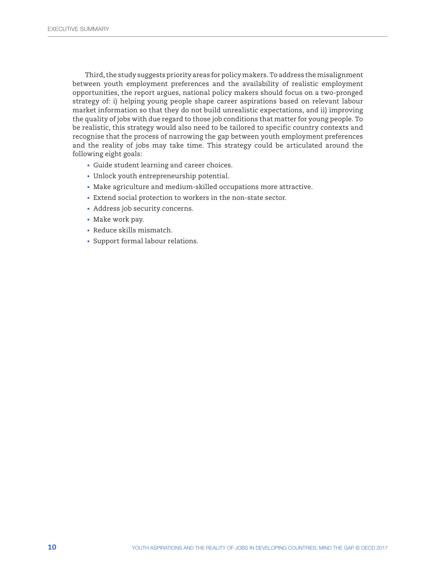Third, the study suggests priority areas for policy makers. To address the misalignment between youth employment preferences and the availability of realistic employment opportunities, the report argues, national policy makers should focus on a two-pronged strategy of: i) helping young people shape career aspirations based on relevant labour market information so that they do not build unrealistic expectations, and ii) improving the quality of jobs with due regard to those job conditions that matter for young people. To be realistic, this strategy would also need to be tailored to specific country contexts and recognise that the process of narrowing the gap between youth employment preferences and the reality of jobs may take time. This strategy could be articulated around the following eight goals:

- Guide student learning and career choices.
- Unlock youth entrepreneurship potential.
- Make agriculture and medium-skilled occupations more attractive.
- Extend social protection to workers in the non-state sector.
- Address job security concerns.
- Make work pay.
- Reduce skills mismatch.
- Support formal labour relations.